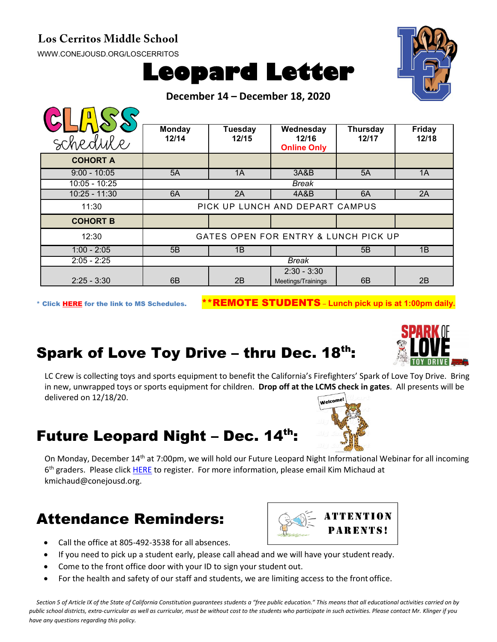#### **Los Cerritos Middle School**

[WWW.CONEJOUSD.ORG/LOSCERRITOS](http://www.conejousd.org/LOSCERRITOS)



**December 14 – December 18, 2020**



| schedule        | <b>Monday</b><br>12/14               | Tuesday<br>12/15 | Wednesday<br>12/16<br><b>Online Only</b> | <b>Thursday</b><br>12/17 | <b>Friday</b><br>12/18 |
|-----------------|--------------------------------------|------------------|------------------------------------------|--------------------------|------------------------|
| <b>COHORT A</b> |                                      |                  |                                          |                          |                        |
| $9:00 - 10:05$  | 5A                                   | 1A               | 3A&B                                     | 5A                       | 1A                     |
| $10:05 - 10:25$ | Break                                |                  |                                          |                          |                        |
| $10:25 - 11:30$ | 6A                                   | 2A               | 4A&B                                     | 6A                       | 2A                     |
| 11:30           | PICK UP LUNCH AND DEPART CAMPUS      |                  |                                          |                          |                        |
| <b>COHORT B</b> |                                      |                  |                                          |                          |                        |
| 12:30           | GATES OPEN FOR ENTRY & LUNCH PICK UP |                  |                                          |                          |                        |
| $1:00 - 2:05$   | 5B                                   | 1B               |                                          | 5B                       | 1B                     |
| $2:05 - 2:25$   | Break                                |                  |                                          |                          |                        |
| $2:25 - 3:30$   | 6B                                   | 2B               | $2:30 - 3:30$<br>Meetings/Trainings      | 6 <sub>B</sub>           | 2B                     |

\* Click [HERE](https://www.conejousd.org/Portals/0/Middle%20School%20Monthly%20Calendar%20_FNLl.pdf?ver=2020-11-04-105638-860) for the link to MS Schedules. \*\*REMOTE STUDENTS – **Lunch pick up is at 1:00pm daily.**

# Spark of Love Toy Drive – thru Dec. 18th:

LC Crew is collecting toys and sports equipment to benefit the California's Firefighters' Spark of Love Toy Drive. Bring in new, unwrapped toys or sports equipment for children. **Drop off at the LCMS check in gates**. All presents will be delivered on 12/18/20.

#### Future Leopard Night - Dec. 14th:

On Monday, December 14<sup>th</sup> at 7:00pm, we will hold our Future Leopard Night Informational Webinar for all incoming  $6<sup>th</sup>$  graders. Please clic[k HERE](https://conejousd-org.zoom.us/webinar/register/WN_EkMZ34y8SdSq-QjWyD09mg) to register. For more information, please email Kim Michaud at kmichaud@conejousd.org.

### Attendance Reminders:

- Call the office at 805-492-3538 for all absences.
- If you need to pick up a student early, please call ahead and we will have your student ready.
- Come to the front office door with your ID to sign your student out.
- For the health and safety of our staff and students, we are limiting access to the front office.

*Section 5 of Article IX of the State of California Constitution guarantees students a "free public education." This means that all educational activities carried on by public school districts, extra-curricular as well as curricular, must be without cost to the students who participate in such activities. Please contact Mr. Klinger if you have any questions regarding this policy.*